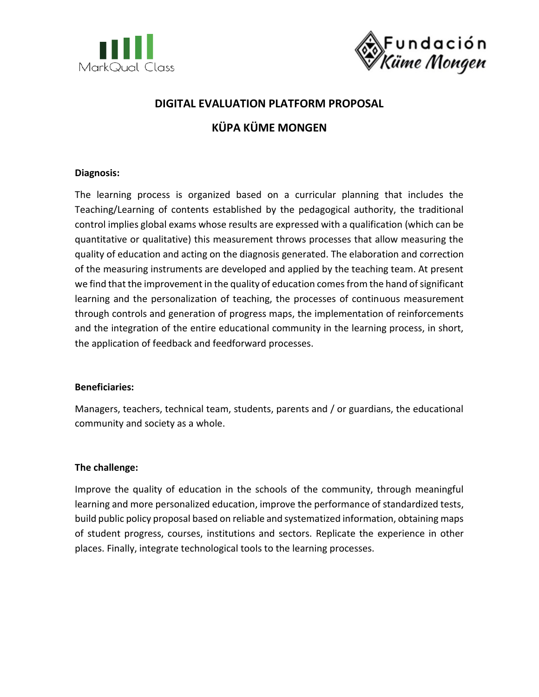



## **DIGITAL EVALUATION PLATFORM PROPOSAL**

# **KÜPA KÜME MONGEN**

## **Diagnosis:**

The learning process is organized based on a curricular planning that includes the Teaching/Learning of contents established by the pedagogical authority, the traditional control implies global exams whose results are expressed with a qualification (which can be quantitative or qualitative) this measurement throws processes that allow measuring the quality of education and acting on the diagnosis generated. The elaboration and correction of the measuring instruments are developed and applied by the teaching team. At present we find that the improvement in the quality of education comes from the hand of significant learning and the personalization of teaching, the processes of continuous measurement through controls and generation of progress maps, the implementation of reinforcements and the integration of the entire educational community in the learning process, in short, the application of feedback and feedforward processes.

## **Beneficiaries:**

Managers, teachers, technical team, students, parents and / or guardians, the educational community and society as a whole.

## **The challenge:**

Improve the quality of education in the schools of the community, through meaningful learning and more personalized education, improve the performance of standardized tests, build public policy proposal based on reliable and systematized information, obtaining maps of student progress, courses, institutions and sectors. Replicate the experience in other places. Finally, integrate technological tools to the learning processes.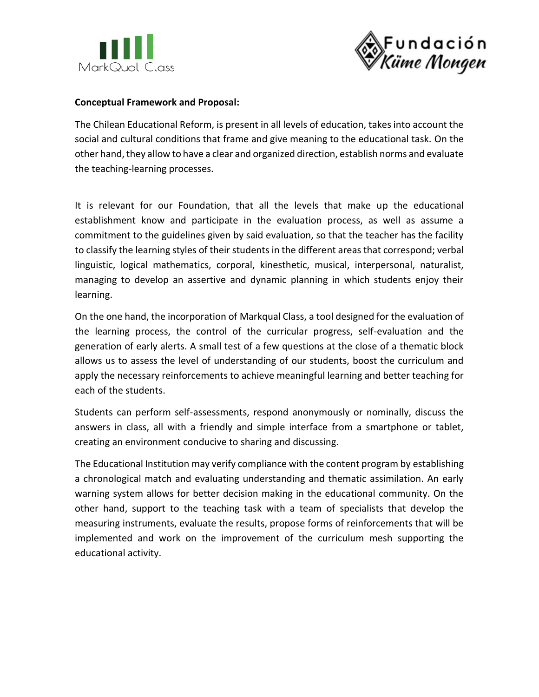



### **Conceptual Framework and Proposal:**

The Chilean Educational Reform, is present in all levels of education, takes into account the social and cultural conditions that frame and give meaning to the educational task. On the other hand, they allow to have a clear and organized direction, establish norms and evaluate the teaching-learning processes.

It is relevant for our Foundation, that all the levels that make up the educational establishment know and participate in the evaluation process, as well as assume a commitment to the guidelines given by said evaluation, so that the teacher has the facility to classify the learning styles of their students in the different areas that correspond; verbal linguistic, logical mathematics, corporal, kinesthetic, musical, interpersonal, naturalist, managing to develop an assertive and dynamic planning in which students enjoy their learning.

On the one hand, the incorporation of Markqual Class, a tool designed for the evaluation of the learning process, the control of the curricular progress, self-evaluation and the generation of early alerts. A small test of a few questions at the close of a thematic block allows us to assess the level of understanding of our students, boost the curriculum and apply the necessary reinforcements to achieve meaningful learning and better teaching for each of the students.

Students can perform self-assessments, respond anonymously or nominally, discuss the answers in class, all with a friendly and simple interface from a smartphone or tablet, creating an environment conducive to sharing and discussing.

The Educational Institution may verify compliance with the content program by establishing a chronological match and evaluating understanding and thematic assimilation. An early warning system allows for better decision making in the educational community. On the other hand, support to the teaching task with a team of specialists that develop the measuring instruments, evaluate the results, propose forms of reinforcements that will be implemented and work on the improvement of the curriculum mesh supporting the educational activity.